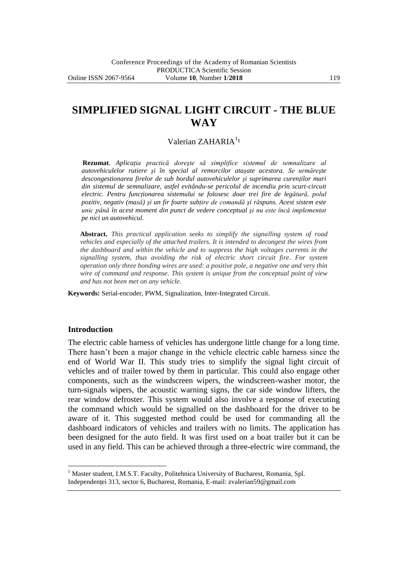# **SIMPLIFIED SIGNAL LIGHT CIRCUIT - THE BLUE WAY**

# Valerian ZAHARIA<sup>11</sup>

**Rezumat**. *Aplicaţia practică doreşte să simplifice sistemul de semnalizare al autovehiculelor rutiere şi în special al remorcilor ataşate acestora. Se urmăreşte descongestionarea firelor de sub bordul autovehiculelor şi suprimarea curenţilor mari din sistemul de semnalizare, astfel evitându-se pericolul de incendiu prin scurt-circuit*  electric. Pentru funcționarea sistemului se folosesc doar trei fire de legătură, polul *pozitiv, negativ (masă) şi un fir foarte subţire de comandă şi răspuns. Acest sistem este unic până în acest moment din punct de vedere conceptual şi nu este încă implementat pe nici un autovehicul.*

**Abstract.** *This practical application seeks to simplify the signalling system of road vehicles and especially of the attached trailers. It is intended to decongest the wires from the dashboard and within the vehicle and to suppress the high voltages currents in the signalling system, thus avoiding the risk of electric short circuit fire. For system operation only three bonding wires are used: a positive pole, a negative one and very thin wire of command and response. This system is unique from the conceptual point of view and has not been met on any vehicle.*

**Keywords:** Serial-encoder, PWM, Signalization, Inter-Integrated Circuit.

#### **Introduction**

 $\overline{a}$ 

The electric cable harness of vehicles has undergone little change for a long time. There hasn't been a major change in the vehicle electric cable harness since the end of World War II. This study tries to simplify the signal light circuit of vehicles and of trailer towed by them in particular. This could also engage other components, such as the windscreen wipers, the windscreen-washer motor, the turn-signals wipers, the acoustic warning signs, the car side window lifters, the rear window defroster. This system would also involve a response of executing the command which would be signalled on the dashboard for the driver to be aware of it. This suggested method could be used for commanding all the dashboard indicators of vehicles and trailers with no limits. The application has been designed for the auto field. It was first used on a boat trailer but it can be used in any field. This can be achieved through a three-electric wire command, the

<sup>&</sup>lt;sup>1</sup> Master student, I.M.S.T. Faculty, Politehnica University of Bucharest, Romania, Spl.

Independenţei 313, sector 6, Bucharest, Romania, E-mail: zvalerian59@gmail.com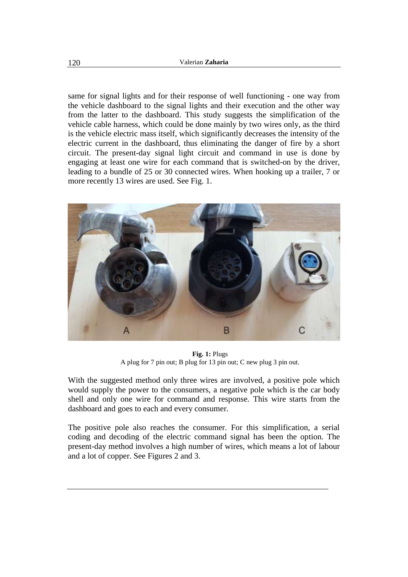same for signal lights and for their response of well functioning - one way from the vehicle dashboard to the signal lights and their execution and the other way from the latter to the dashboard. This study suggests the simplification of the vehicle cable harness, which could be done mainly by two wires only, as the third is the vehicle electric mass itself, which significantly decreases the intensity of the electric current in the dashboard, thus eliminating the danger of fire by a short circuit. The present-day signal light circuit and command in use is done by engaging at least one wire for each command that is switched-on by the driver, leading to a bundle of 25 or 30 connected wires. When hooking up a trailer, 7 or more recently 13 wires are used. See Fig. 1.



**Fig. 1:** Plugs A plug for 7 pin out; B plug for 13 pin out; C new plug 3 pin out.

With the suggested method only three wires are involved, a positive pole which would supply the power to the consumers, a negative pole which is the car body shell and only one wire for command and response. This wire starts from the dashboard and goes to each and every consumer.

The positive pole also reaches the consumer. For this simplification, a serial coding and decoding of the electric command signal has been the option. The present-day method involves a high number of wires, which means a lot of labour and a lot of copper. See Figures 2 and 3.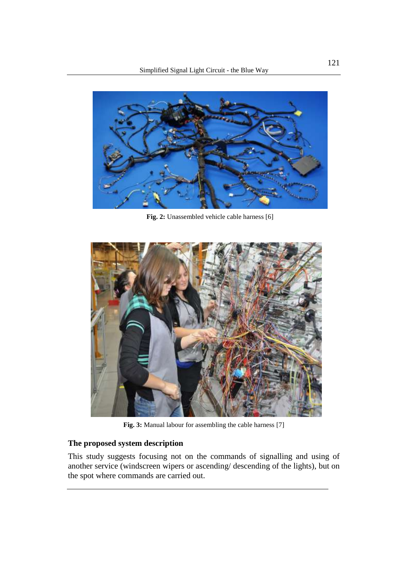

**Fig. 2:** Unassembled vehicle cable harness [6]



**Fig. 3:** Manual labour for assembling the cable harness [7]

# **The proposed system description**

This study suggests focusing not on the commands of signalling and using of another service (windscreen wipers or ascending/ descending of the lights), but on the spot where commands are carried out.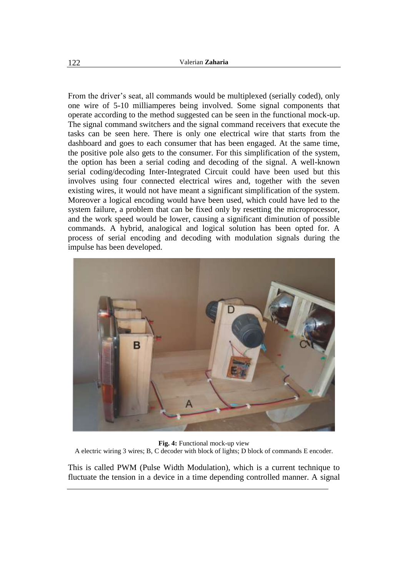From the driver's seat, all commands would be multiplexed (serially coded), only one wire of 5-10 milliamperes being involved. Some signal components that operate according to the method suggested can be seen in the functional mock-up. The signal command switchers and the signal command receivers that execute the tasks can be seen here. There is only one electrical wire that starts from the dashboard and goes to each consumer that has been engaged. At the same time, the positive pole also gets to the consumer. For this simplification of the system, the option has been a serial coding and decoding of the signal. A well-known serial coding/decoding Inter-Integrated Circuit could have been used but this involves using four connected electrical wires and, together with the seven existing wires, it would not have meant a significant simplification of the system. Moreover a logical encoding would have been used, which could have led to the system failure, a problem that can be fixed only by resetting the microprocessor, and the work speed would be lower, causing a significant diminution of possible commands. A hybrid, analogical and logical solution has been opted for. A process of serial encoding and decoding with modulation signals during the impulse has been developed.



**Fig. 4:** Functional mock-up view

A electric wiring 3 wires; B, C decoder with block of lights; D block of commands E encoder.

This is called PWM (Pulse Width Modulation), which is a current technique to fluctuate the tension in a device in a time depending controlled manner. A signal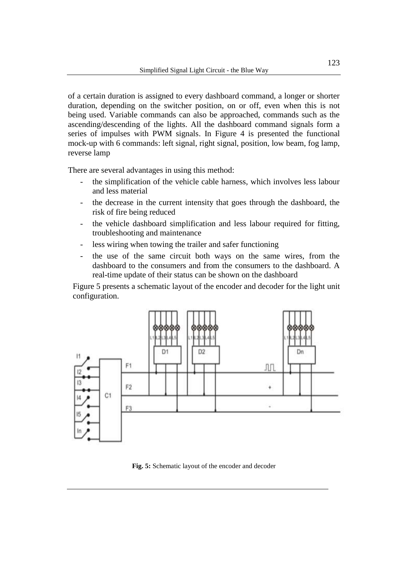of a certain duration is assigned to every dashboard command, a longer or shorter duration, depending on the switcher position, on or off, even when this is not being used. Variable commands can also be approached, commands such as the ascending/descending of the lights. All the dashboard command signals form a series of impulses with PWM signals. In Figure 4 is presented the functional mock-up with 6 commands: left signal, right signal, position, low beam, fog lamp, reverse lamp

There are several advantages in using this method:

- the simplification of the vehicle cable harness, which involves less labour and less material
- the decrease in the current intensity that goes through the dashboard, the risk of fire being reduced
- the vehicle dashboard simplification and less labour required for fitting, troubleshooting and maintenance
- less wiring when towing the trailer and safer functioning
- the use of the same circuit both ways on the same wires, from the dashboard to the consumers and from the consumers to the dashboard. A real-time update of their status can be shown on the dashboard

Figure 5 presents a schematic layout of the encoder and decoder for the light unit configuration.



**Fig. 5:** Schematic layout of the encoder and decoder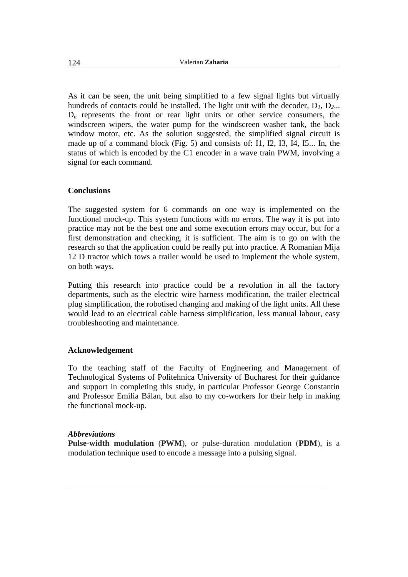As it can be seen, the unit being simplified to a few signal lights but virtually hundreds of contacts could be installed. The light unit with the decoder,  $D_1$ ,  $D_2$ ...  $D_n$  represents the front or rear light units or other service consumers, the windscreen wipers, the water pump for the windscreen washer tank, the back window motor, etc. As the solution suggested, the simplified signal circuit is made up of a command block (Fig. 5) and consists of: I1, I2, I3, I4, I5... In, the status of which is encoded by the C1 encoder in a wave train PWM, involving a signal for each command.

# **Conclusions**

The suggested system for 6 commands on one way is implemented on the functional mock-up. This system functions with no errors. The way it is put into practice may not be the best one and some execution errors may occur, but for a first demonstration and checking, it is sufficient. The aim is to go on with the research so that the application could be really put into practice. A Romanian Mija 12 D tractor which tows a trailer would be used to implement the whole system, on both ways.

Putting this research into practice could be a revolution in all the factory departments, such as the electric wire harness modification, the trailer electrical plug simplification, the robotised changing and making of the light units. All these would lead to an electrical cable harness simplification, less manual labour, easy troubleshooting and maintenance.

## **Acknowledgement**

To the teaching staff of the Faculty of Engineering and Management of Technological Systems of Politehnica University of Bucharest for their guidance and support in completing this study, in particular Professor George Constantin and Professor Emilia Bălan, but also to my co-workers for their help in making the functional mock-up.

## *Abbreviations*

**Pulse-width modulation** (**PWM**), or pulse-duration modulation (**PDM**), is a [modulation](https://en.wikipedia.org/wiki/Modulation) technique used to encode a [message](https://en.wikipedia.org/wiki/Message) into a [pulsing signal.](https://en.wikipedia.org/wiki/Pulse_(signal_processing))